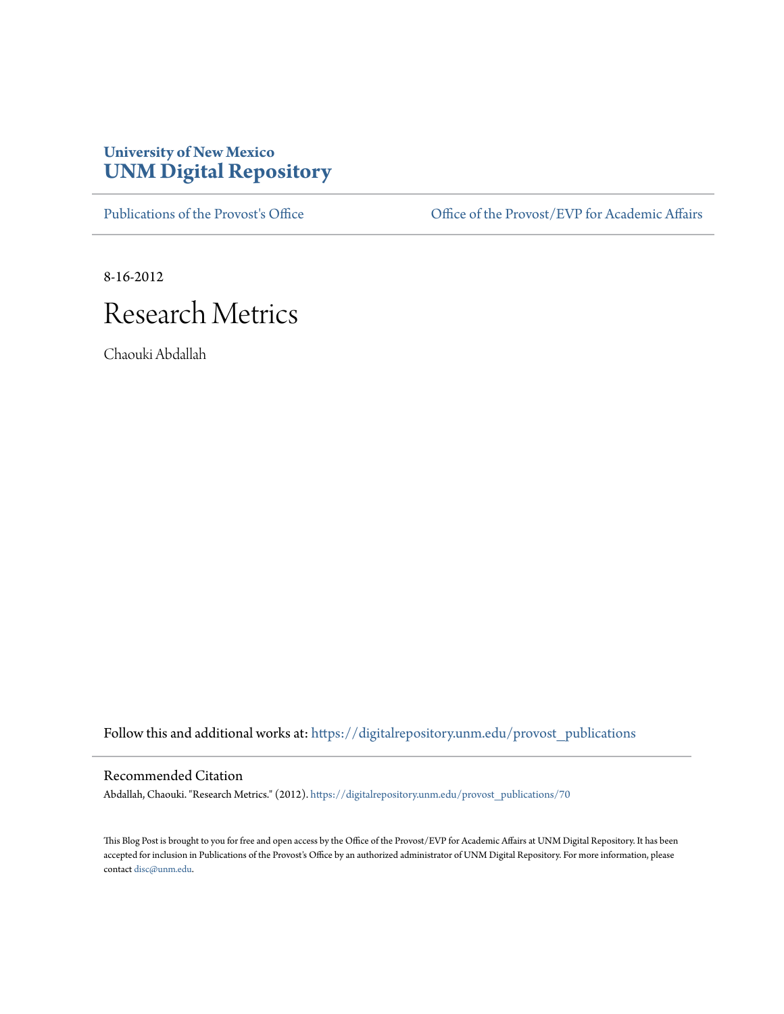### **University of New Mexico [UNM Digital Repository](https://digitalrepository.unm.edu?utm_source=digitalrepository.unm.edu%2Fprovost_publications%2F70&utm_medium=PDF&utm_campaign=PDFCoverPages)**

[Publications of the Provost's Office](https://digitalrepository.unm.edu/provost_publications?utm_source=digitalrepository.unm.edu%2Fprovost_publications%2F70&utm_medium=PDF&utm_campaign=PDFCoverPages) Office [Office of the Provost/EVP for Academic Affairs](https://digitalrepository.unm.edu/ofc_provost?utm_source=digitalrepository.unm.edu%2Fprovost_publications%2F70&utm_medium=PDF&utm_campaign=PDFCoverPages)

8-16-2012

# Research Metrics

Chaouki Abdallah

Follow this and additional works at: [https://digitalrepository.unm.edu/provost\\_publications](https://digitalrepository.unm.edu/provost_publications?utm_source=digitalrepository.unm.edu%2Fprovost_publications%2F70&utm_medium=PDF&utm_campaign=PDFCoverPages)

#### Recommended Citation

Abdallah, Chaouki. "Research Metrics." (2012). [https://digitalrepository.unm.edu/provost\\_publications/70](https://digitalrepository.unm.edu/provost_publications/70?utm_source=digitalrepository.unm.edu%2Fprovost_publications%2F70&utm_medium=PDF&utm_campaign=PDFCoverPages)

This Blog Post is brought to you for free and open access by the Office of the Provost/EVP for Academic Affairs at UNM Digital Repository. It has been accepted for inclusion in Publications of the Provost's Office by an authorized administrator of UNM Digital Repository. For more information, please contact [disc@unm.edu.](mailto:disc@unm.edu)